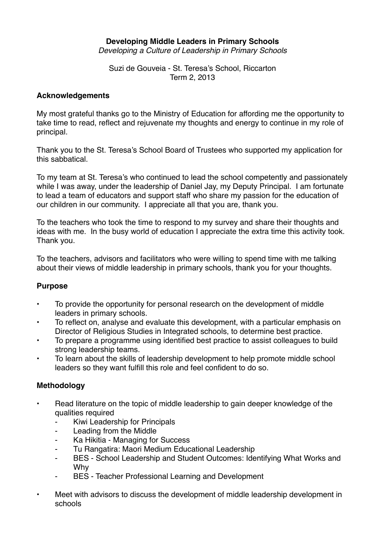## **Developing Middle Leaders in Primary Schools**

*Developing a Culture of Leadership in Primary Schools*

Suzi de Gouveia - St. Teresa's School, Riccarton Term 2, 2013

#### **Acknowledgements**

My most grateful thanks go to the Ministry of Education for affording me the opportunity to take time to read, reflect and rejuvenate my thoughts and energy to continue in my role of principal.

Thank you to the St. Teresa's School Board of Trustees who supported my application for this sabbatical.

To my team at St. Teresa's who continued to lead the school competently and passionately while I was away, under the leadership of Daniel Jay, my Deputy Principal. I am fortunate to lead a team of educators and support staff who share my passion for the education of our children in our community. I appreciate all that you are, thank you.

To the teachers who took the time to respond to my survey and share their thoughts and ideas with me. In the busy world of education I appreciate the extra time this activity took. Thank you.

To the teachers, advisors and facilitators who were willing to spend time with me talking about their views of middle leadership in primary schools, thank you for your thoughts.

#### **Purpose**

- To provide the opportunity for personal research on the development of middle leaders in primary schools.
- To reflect on, analyse and evaluate this development, with a particular emphasis on Director of Religious Studies in Integrated schools, to determine best practice.
- To prepare a programme using identified best practice to assist colleagues to build strong leadership teams.
- To learn about the skills of leadership development to help promote middle school leaders so they want fulfill this role and feel confident to do so.

#### **Methodology**

- Read literature on the topic of middle leadership to gain deeper knowledge of the qualities required
	- Kiwi Leadership for Principals
	- Leading from the Middle
	- Ka Hikitia Managing for Success
	- Tu Rangatira: Maori Medium Educational Leadership
	- BES School Leadership and Student Outcomes: Identifying What Works and Why
	- BES Teacher Professional Learning and Development
- Meet with advisors to discuss the development of middle leadership development in schools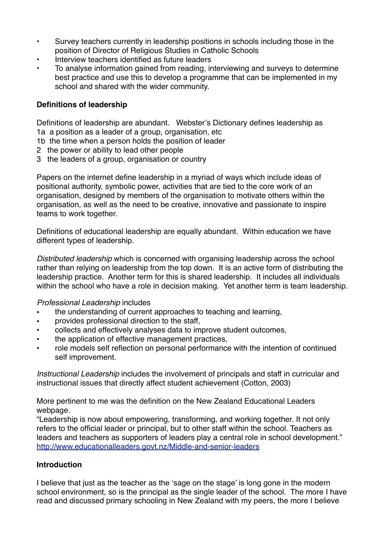- Survey teachers currently in leadership positions in schools including those in the position of Director of Religious Studies in Catholic Schools
- Interview teachers identified as future leaders
- To analyse information gained from reading, interviewing and surveys to determine best practice and use this to develop a programme that can be implemented in my school and shared with the wider community.

### **Definitions of leadership**

Definitions of leadership are abundant. Webster's Dictionary defines leadership as 1a a position as a leader of a group, organisation, etc

- 1b the time when a person holds the position of leader
- 2 the power or ability to lead other people
- 3 the leaders of a group, organisation or country

Papers on the internet define leadership in a myriad of ways which include ideas of positional authority, symbolic power, activities that are tied to the core work of an organisation, designed by members of the organisation to motivate others within the organisation, as well as the need to be creative, innovative and passionate to inspire teams to work together.

Definitions of educational leadership are equally abundant. Within education we have different types of leadership.

*Distributed leadership* which is concerned with organising leadership across the school rather than relying on leadership from the top down. It is an active form of distributing the leadership practice. Another term for this is shared leadership. It includes all individuals within the school who have a role in decision making. Yet another term is team leadership.

#### *Professional Leadership* includes

- the understanding of current approaches to teaching and learning,
- provides professional direction to the staff,
- collects and effectively analyses data to improve student outcomes,
- the application of effective management practices,
- role models self reflection on personal performance with the intention of continued self improvement.

*Instructional Leadership* includes the involvement of principals and staff in curricular and instructional issues that directly affect student achievement (Cotton, 2003)

More pertinent to me was the definition on the New Zealand Educational Leaders webpage.

"Leadership is now about empowering, transforming, and working together. It not only refers to the official leader or principal, but to other staff within the school. Teachers as leaders and teachers as supporters of leaders play a central role in school development." <http://www.educationalleaders.govt.nz/Middle-and-senior-leaders>

#### **Introduction**

I believe that just as the teacher as the 'sage on the stage' is long gone in the modern school environment, so is the principal as the single leader of the school. The more I have read and discussed primary schooling in New Zealand with my peers, the more I believe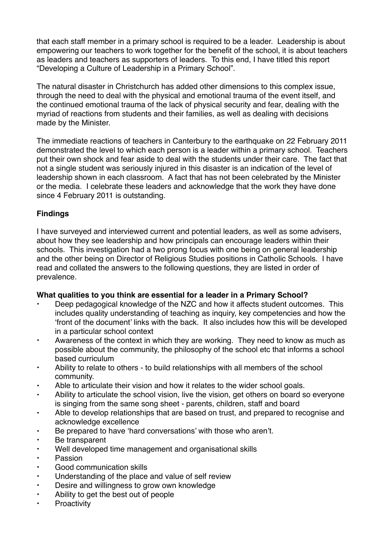that each staff member in a primary school is required to be a leader. Leadership is about empowering our teachers to work together for the benefit of the school, it is about teachers as leaders and teachers as supporters of leaders. To this end, I have titled this report "Developing a Culture of Leadership in a Primary School".

The natural disaster in Christchurch has added other dimensions to this complex issue, through the need to deal with the physical and emotional trauma of the event itself, and the continued emotional trauma of the lack of physical security and fear, dealing with the myriad of reactions from students and their families, as well as dealing with decisions made by the Minister.

The immediate reactions of teachers in Canterbury to the earthquake on 22 February 2011 demonstrated the level to which each person is a leader within a primary school. Teachers put their own shock and fear aside to deal with the students under their care. The fact that not a single student was seriously injured in this disaster is an indication of the level of leadership shown in each classroom. A fact that has not been celebrated by the Minister or the media. I celebrate these leaders and acknowledge that the work they have done since 4 February 2011 is outstanding.

### **Findings**

I have surveyed and interviewed current and potential leaders, as well as some advisers, about how they see leadership and how principals can encourage leaders within their schools. This investigation had a two prong focus with one being on general leadership and the other being on Director of Religious Studies positions in Catholic Schools. I have read and collated the answers to the following questions, they are listed in order of prevalence.

### **What qualities to you think are essential for a leader in a Primary School?**

- Deep pedagogical knowledge of the NZC and how it affects student outcomes. This includes quality understanding of teaching as inquiry, key competencies and how the 'front of the document' links with the back. It also includes how this will be developed in a particular school context
- Awareness of the context in which they are working. They need to know as much as possible about the community, the philosophy of the school etc that informs a school based curriculum
- Ability to relate to others to build relationships with all members of the school community.
- Able to articulate their vision and how it relates to the wider school goals.
- Ability to articulate the school vision, live the vision, get others on board so everyone is singing from the same song sheet - parents, children, staff and board
- Able to develop relationships that are based on trust, and prepared to recognise and acknowledge excellence
- Be prepared to have 'hard conversations' with those who aren't.
- Be transparent
- Well developed time management and organisational skills
- Passion
- Good communication skills
- Understanding of the place and value of self review
- Desire and willingness to grow own knowledge
- Ability to get the best out of people
- **Proactivity**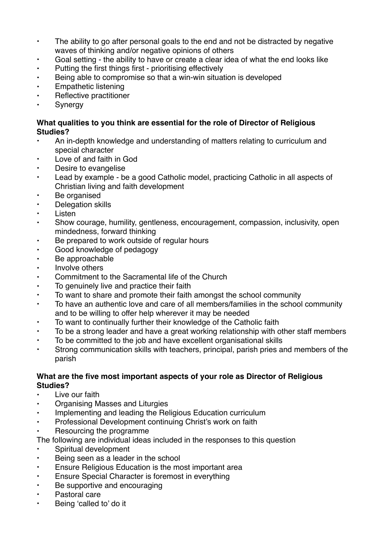- The ability to go after personal goals to the end and not be distracted by negative waves of thinking and/or negative opinions of others
- Goal setting the ability to have or create a clear idea of what the end looks like
- Putting the first things first prioritising effectively
- Being able to compromise so that a win-win situation is developed
- Empathetic listening
- Reflective practitioner
- Synergy

### **What qualities to you think are essential for the role of Director of Religious Studies?**

- An in-depth knowledge and understanding of matters relating to curriculum and special character
- Love of and faith in God
- Desire to evangelise
- Lead by example be a good Catholic model, practicing Catholic in all aspects of Christian living and faith development
- Be organised
- Delegation skills
- Listen
- Show courage, humility, gentleness, encouragement, compassion, inclusivity, open mindedness, forward thinking
- Be prepared to work outside of regular hours
- Good knowledge of pedagogy
- Be approachable
- Involve others
- Commitment to the Sacramental life of the Church
- To genuinely live and practice their faith
- To want to share and promote their faith amongst the school community
- To have an authentic love and care of all members/families in the school community and to be willing to offer help wherever it may be needed
- To want to continually further their knowledge of the Catholic faith
- To be a strong leader and have a great working relationship with other staff members
- To be committed to the job and have excellent organisational skills
- Strong communication skills with teachers, principal, parish pries and members of the parish

### **What are the five most important aspects of your role as Director of Religious Studies?**

- Live our faith
- Organising Masses and Liturgies
- Implementing and leading the Religious Education curriculum
- Professional Development continuing Christ's work on faith
- Resourcing the programme
- The following are individual ideas included in the responses to this question
- Spiritual development
- Being seen as a leader in the school
- Ensure Religious Education is the most important area
- Ensure Special Character is foremost in everything
- Be supportive and encouraging
- Pastoral care
- Being 'called to' do it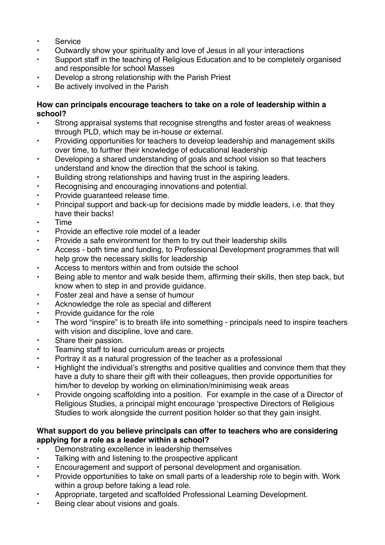- Service
- Outwardly show your spirituality and love of Jesus in all your interactions
- Support staff in the teaching of Religious Education and to be completely organised and responsible for school Masses
- Develop a strong relationship with the Parish Priest
- Be actively involved in the Parish

### **How can principals encourage teachers to take on a role of leadership within a school?**

- Strong appraisal systems that recognise strengths and foster areas of weakness through PLD, which may be in-house or external.
- Providing opportunities for teachers to develop leadership and management skills over time, to further their knowledge of educational leadership
- Developing a shared understanding of goals and school vision so that teachers understand and know the direction that the school is taking.
- Building strong relationships and having trust in the aspiring leaders.
- Recognising and encouraging innovations and potential.
- Provide guaranteed release time.
- Principal support and back-up for decisions made by middle leaders, i.e. that they have their backs!
- Time
- Provide an effective role model of a leader
- Provide a safe environment for them to try out their leadership skills
- Access both time and funding, to Professional Development programmes that will help grow the necessary skills for leadership
- Access to mentors within and from outside the school
- Being able to mentor and walk beside them, affirming their skills, then step back, but know when to step in and provide guidance.
- Foster zeal and have a sense of humour
- Acknowledge the role as special and different
- Provide guidance for the role
- The word "inspire" is to breath life into something principals need to inspire teachers with vision and discipline, love and care.
- Share their passion.
- Teaming staff to lead curriculum areas or projects
- Portray it as a natural progression of the teacher as a professional
- Highlight the individual's strengths and positive qualities and convince them that they have a duty to share their gift with their colleagues, then provide opportunities for him/her to develop by working on elimination/minimising weak areas
- Provide ongoing scaffolding into a position. For example in the case of a Director of Religious Studies, a principal might encourage 'prospective Directors of Religious Studies to work alongside the current position holder so that they gain insight.

### **What support do you believe principals can offer to teachers who are considering applying for a role as a leader within a school?**

- Demonstrating excellence in leadership themselves
- Talking with and listening to the prospective applicant
- Encouragement and support of personal development and organisation.
- Provide opportunities to take on small parts of a leadership role to begin with. Work within a group before taking a lead role.
- Appropriate, targeted and scaffolded Professional Learning Development.
- Being clear about visions and goals.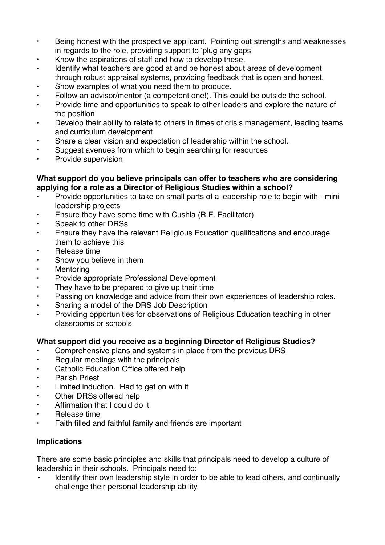- Being honest with the prospective applicant. Pointing out strengths and weaknesses in regards to the role, providing support to 'plug any gaps'
- Know the aspirations of staff and how to develop these.
- Identify what teachers are good at and be honest about areas of development through robust appraisal systems, providing feedback that is open and honest.
- Show examples of what you need them to produce.
- Follow an advisor/mentor (a competent one!). This could be outside the school.
- Provide time and opportunities to speak to other leaders and explore the nature of the position
- Develop their ability to relate to others in times of crisis management, leading teams and curriculum development
- Share a clear vision and expectation of leadership within the school.
- Suggest avenues from which to begin searching for resources
- Provide supervision

### **What support do you believe principals can offer to teachers who are considering applying for a role as a Director of Religious Studies within a school?**

- Provide opportunities to take on small parts of a leadership role to begin with mini leadership projects
- Ensure they have some time with Cushla (R.E. Facilitator)
- Speak to other DRSs
- Ensure they have the relevant Religious Education qualifications and encourage them to achieve this
- Release time
- Show you believe in them
- Mentoring
- Provide appropriate Professional Development
- They have to be prepared to give up their time
- Passing on knowledge and advice from their own experiences of leadership roles.
- Sharing a model of the DRS Job Description
- Providing opportunities for observations of Religious Education teaching in other classrooms or schools

### **What support did you receive as a beginning Director of Religious Studies?**

- Comprehensive plans and systems in place from the previous DRS
- Regular meetings with the principals
- Catholic Education Office offered help
- Parish Priest
- Limited induction. Had to get on with it
- Other DRSs offered help
- Affirmation that I could do it
- Release time
- Faith filled and faithful family and friends are important

## **Implications**

There are some basic principles and skills that principals need to develop a culture of leadership in their schools. Principals need to:

**•** Identify their own leadership style in order to be able to lead others, and continually challenge their personal leadership ability.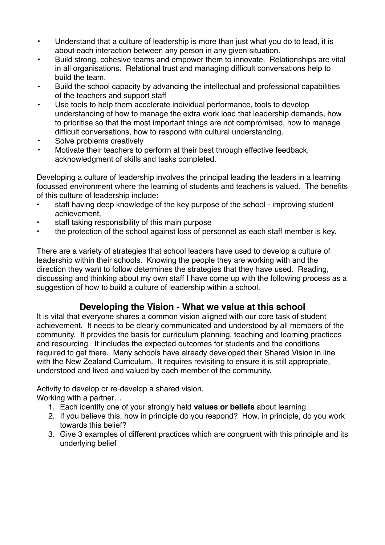- **•** Understand that a culture of leadership is more than just what you do to lead, it is about each interaction between any person in any given situation.
- **•** Build strong, cohesive teams and empower them to innovate. Relationships are vital in all organisations. Relational trust and managing difficult conversations help to build the team.
- **•** Build the school capacity by advancing the intellectual and professional capabilities of the teachers and support staff
- **•** Use tools to help them accelerate individual performance, tools to develop understanding of how to manage the extra work load that leadership demands, how to prioritise so that the most important things are not compromised, how to manage difficult conversations, how to respond with cultural understanding.
- **•** Solve problems creatively
- **•** Motivate their teachers to perform at their best through effective feedback, acknowledgment of skills and tasks completed.

Developing a culture of leadership involves the principal leading the leaders in a learning focussed environment where the learning of students and teachers is valued. The benefits of this culture of leadership include:

- staff having deep knowledge of the key purpose of the school improving student achievement,
- staff taking responsibility of this main purpose
- the protection of the school against loss of personnel as each staff member is key.

There are a variety of strategies that school leaders have used to develop a culture of leadership within their schools. Knowing the people they are working with and the direction they want to follow determines the strategies that they have used. Reading, discussing and thinking about my own staff I have come up with the following process as a suggestion of how to build a culture of leadership within a school.

# **Developing the Vision - What we value at this school**

It is vital that everyone shares a common vision aligned with our core task of student achievement. It needs to be clearly communicated and understood by all members of the community. It provides the basis for curriculum planning, teaching and learning practices and resourcing. It includes the expected outcomes for students and the conditions required to get there. Many schools have already developed their Shared Vision in line with the New Zealand Curriculum. It requires revisiting to ensure it is still appropriate, understood and lived and valued by each member of the community.

Activity to develop or re-develop a shared vision.

Working with a partner…

- 1. Each identify one of your strongly held **values or beliefs** about learning
- 2. If you believe this, how in principle do you respond? How, in principle, do you work towards this belief?
- 3. Give 3 examples of different practices which are congruent with this principle and its underlying belief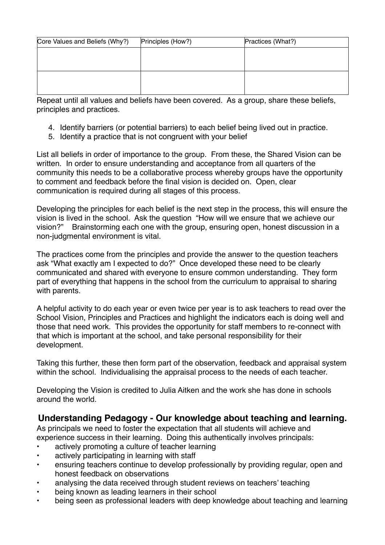| Core Values and Beliefs (Why?) | Principles (How?) | Practices (What?) |
|--------------------------------|-------------------|-------------------|
|                                |                   |                   |
|                                |                   |                   |
|                                |                   |                   |
|                                |                   |                   |
|                                |                   |                   |

Repeat until all values and beliefs have been covered. As a group, share these beliefs, principles and practices.

- 4. Identify barriers (or potential barriers) to each belief being lived out in practice.
- 5. Identify a practice that is not congruent with your belief

List all beliefs in order of importance to the group. From these, the Shared Vision can be written. In order to ensure understanding and acceptance from all quarters of the community this needs to be a collaborative process whereby groups have the opportunity to comment and feedback before the final vision is decided on. Open, clear communication is required during all stages of this process.

Developing the principles for each belief is the next step in the process, this will ensure the vision is lived in the school. Ask the question "How will we ensure that we achieve our vision?" Brainstorming each one with the group, ensuring open, honest discussion in a non-judgmental environment is vital.

The practices come from the principles and provide the answer to the question teachers ask "What exactly am I expected to do?" Once developed these need to be clearly communicated and shared with everyone to ensure common understanding. They form part of everything that happens in the school from the curriculum to appraisal to sharing with parents.

A helpful activity to do each year or even twice per year is to ask teachers to read over the School Vision, Principles and Practices and highlight the indicators each is doing well and those that need work. This provides the opportunity for staff members to re-connect with that which is important at the school, and take personal responsibility for their development.

Taking this further, these then form part of the observation, feedback and appraisal system within the school. Individualising the appraisal process to the needs of each teacher.

Developing the Vision is credited to Julia Aitken and the work she has done in schools around the world.

## **Understanding Pedagogy - Our knowledge about teaching and learning.**

As principals we need to foster the expectation that all students will achieve and experience success in their learning. Doing this authentically involves principals:

- actively promoting a culture of teacher learning
- actively participating in learning with staff
- ensuring teachers continue to develop professionally by providing regular, open and honest feedback on observations
- analysing the data received through student reviews on teachers' teaching
- being known as leading learners in their school
- being seen as professional leaders with deep knowledge about teaching and learning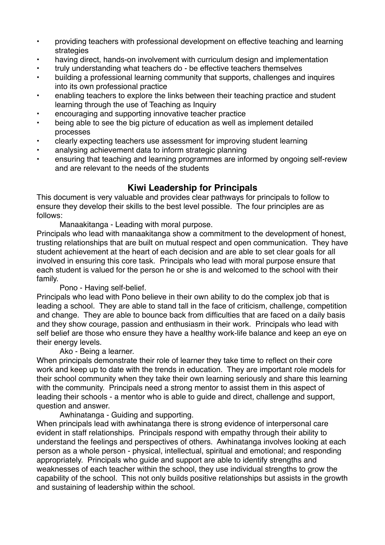- providing teachers with professional development on effective teaching and learning strategies
- having direct, hands-on involvement with curriculum design and implementation
- truly understanding what teachers do be effective teachers themselves
- building a professional learning community that supports, challenges and inquires into its own professional practice
- enabling teachers to explore the links between their teaching practice and student learning through the use of Teaching as Inquiry
- encouraging and supporting innovative teacher practice
- being able to see the big picture of education as well as implement detailed processes
- clearly expecting teachers use assessment for improving student learning
- analysing achievement data to inform strategic planning
- ensuring that teaching and learning programmes are informed by ongoing self-review and are relevant to the needs of the students

## **Kiwi Leadership for Principals**

This document is very valuable and provides clear pathways for principals to follow to ensure they develop their skills to the best level possible. The four principles are as follows:

Manaakitanga - Leading with moral purpose.

Principals who lead with manaakitanga show a commitment to the development of honest, trusting relationships that are built on mutual respect and open communication. They have student achievement at the heart of each decision and are able to set clear goals for all involved in ensuring this core task. Principals who lead with moral purpose ensure that each student is valued for the person he or she is and welcomed to the school with their family.

Pono - Having self-belief.

Principals who lead with Pono believe in their own ability to do the complex job that is leading a school. They are able to stand tall in the face of criticism, challenge, competition and change. They are able to bounce back from difficulties that are faced on a daily basis and they show courage, passion and enthusiasm in their work. Principals who lead with self belief are those who ensure they have a healthy work-life balance and keep an eye on their energy levels.

Ako - Being a learner.

When principals demonstrate their role of learner they take time to reflect on their core work and keep up to date with the trends in education. They are important role models for their school community when they take their own learning seriously and share this learning with the community. Principals need a strong mentor to assist them in this aspect of leading their schools - a mentor who is able to guide and direct, challenge and support, question and answer.

Awhinatanga - Guiding and supporting.

When principals lead with awhinatanga there is strong evidence of interpersonal care evident in staff relationships. Principals respond with empathy through their ability to understand the feelings and perspectives of others. Awhinatanga involves looking at each person as a whole person - physical, intellectual, spiritual and emotional; and responding appropriately. Principals who guide and support are able to identify strengths and weaknesses of each teacher within the school, they use individual strengths to grow the capability of the school. This not only builds positive relationships but assists in the growth and sustaining of leadership within the school.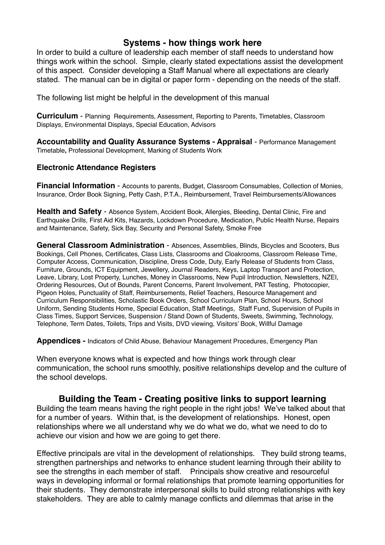## **Systems - how things work here**

In order to build a culture of leadership each member of staff needs to understand how things work within the school. Simple, clearly stated expectations assist the development of this aspect. Consider developing a Staff Manual where all expectations are clearly stated. The manual can be in digital or paper form - depending on the needs of the staff.

The following list might be helpful in the development of this manual

**Curriculum** - Planning Requirements, Assessment, Reporting to Parents, Timetables, Classroom Displays, Environmental Displays, Special Education, Advisors

**Accountability and Quality Assurance Systems - Appraisal** - Performance Management Timetable**,** Professional Development, Marking of Students Work

#### **Electronic Attendance Registers**

**Financial Information** - Accounts to parents, Budget, Classroom Consumables, Collection of Monies, Insurance, Order Book Signing, Petty Cash, P.T.A., Reimbursement, Travel Reimbursements/Allowances

**Health and Safety** - Absence System, Accident Book, Allergies, Bleeding, Dental Clinic, Fire and Earthquake Drills, First Aid Kits, Hazards, Lockdown Procedure, Medication, Public Health Nurse, Repairs and Maintenance, Safety, Sick Bay, Security and Personal Safety, Smoke Free

**General Classroom Administration** - Absences, Assemblies, Blinds, Bicycles and Scooters, Bus Bookings, Cell Phones, Certificates, Class Lists, Classrooms and Cloakrooms, Classroom Release Time, Computer Access, Communication, Discipline, Dress Code, Duty, Early Release of Students from Class, Furniture, Grounds, ICT Equipment, Jewellery, Journal Readers, Keys, Laptop Transport and Protection, Leave, Library, Lost Property, Lunches, Money in Classrooms, New Pupil Introduction, Newsletters, NZEI, Ordering Resources, Out of Bounds, Parent Concerns, Parent Involvement, PAT Testing, Photocopier, Pigeon Holes, Punctuality of Staff, Reimbursements, Relief Teachers, Resource Management and Curriculum Responsibilities, Scholastic Book Orders, School Curriculum Plan, School Hours, School Uniform, Sending Students Home, Special Education, Staff Meetings, Staff Fund, Supervision of Pupils in Class Times, Support Services, Suspension / Stand Down of Students, Sweets, Swimming, Technology, Telephone, Term Dates, Toilets, Trips and Visits, DVD viewing, Visitors' Book, Willful Damage

**Appendices -** Indicators of Child Abuse, Behaviour Management Procedures, Emergency Plan

When everyone knows what is expected and how things work through clear communication, the school runs smoothly, positive relationships develop and the culture of the school develops.

### **Building the Team - Creating positive links to support learning**

Building the team means having the right people in the right jobs! We've talked about that for a number of years. Within that, is the development of relationships. Honest, open relationships where we all understand why we do what we do, what we need to do to achieve our vision and how we are going to get there.

Effective principals are vital in the development of relationships. They build strong teams, strengthen partnerships and networks to enhance student learning through their ability to see the strengths in each member of staff. Principals show creative and resourceful ways in developing informal or formal relationships that promote learning opportunities for their students. They demonstrate interpersonal skills to build strong relationships with key stakeholders. They are able to calmly manage conflicts and dilemmas that arise in the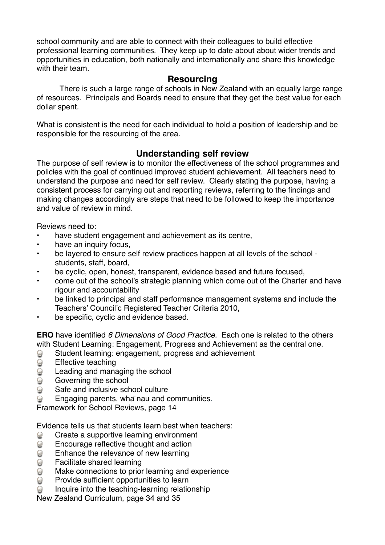school community and are able to connect with their colleagues to build effective professional learning communities. They keep up to date about about wider trends and opportunities in education, both nationally and internationally and share this knowledge with their team.

## **Resourcing**

There is such a large range of schools in New Zealand with an equally large range of resources. Principals and Boards need to ensure that they get the best value for each dollar spent.

What is consistent is the need for each individual to hold a position of leadership and be responsible for the resourcing of the area.

## **Understanding self review**

The purpose of self review is to monitor the effectiveness of the school programmes and policies with the goal of continued improved student achievement. All teachers need to understand the purpose and need for self review. Clearly stating the purpose, having a consistent process for carrying out and reporting reviews, referring to the findings and making changes accordingly are steps that need to be followed to keep the importance and value of review in mind.

Reviews need to:

- have student engagement and achievement as its centre,
- have an inquiry focus,
- be layered to ensure self review practices happen at all levels of the school students, staff, board,
- be cyclic, open, honest, transparent, evidence based and future focused,
- come out of the school's strategic planning which come out of the Charter and have rigour and accountability
- be linked to principal and staff performance management systems and include the Teachers' Council'c Registered Teacher Criteria 2010,
- be specific, cyclic and evidence based.

**ERO** have identified *6 Dimensions of Good Practice.* Each one is related to the others with Student Learning: Engagement, Progress and Achievement as the central one.

- $\odot$ Student learning: engagement, progress and achievement
- $\odot$ Effective teaching
- $\bm{\Theta}$ Leading and managing the school
- $\odot$ Governing the school
- $\odot$ Safe and inclusive school culture
- $\odot$ Engaging parents, wha nau and communities.

Framework for School Reviews, page 14

Evidence tells us that students learn best when teachers:

- $\bigcirc$ Create a supportive learning environment
- $\odot$ Encourage reflective thought and action
- $\odot$ Enhance the relevance of new learning
- $\Theta$ Facilitate shared learning
- Make connections to prior learning and experience  $\odot$
- $\odot$ Provide sufficient opportunities to learn
- $\odot$ Inquire into the teaching-learning relationship

New Zealand Curriculum, page 34 and 35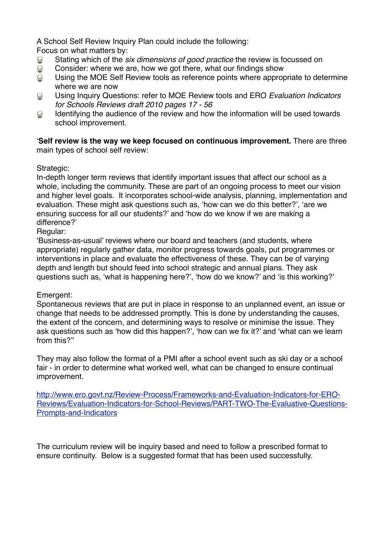A School Self Review Inquiry Plan could include the following:

Focus on what matters by:

- Stating which of the *six dimensions of good practice* the review is focussed on  $\odot$
- $\odot$ Consider: where we are, how we got there, what our findings show
- $\odot$ Using the MOE Self Review tools as reference points where appropriate to determine where we are now
- Using Inquiry Questions: refer to MOE Review tools and ERO *Evaluation Indicators*   $\odot$ *for Schools Reviews draft 2010 pages 17 - 56*
- Identifying the audience of the review and how the information will be used towards  $\odot$ school improvement.

'**Self review is the way we keep focused on continuous improvement.** There are three main types of school self review:

## Strategic:

In-depth longer term reviews that identify important issues that affect our school as a whole, including the community. These are part of an ongoing process to meet our vision and higher level goals. It incorporates school-wide analysis, planning, implementation and evaluation. These might ask questions such as, 'how can we do this better?', 'are we ensuring success for all our students?' and 'how do we know if we are making a difference?'

Regular:

'Business-as-usual' reviews where our board and teachers (and students, where appropriate) regularly gather data, monitor progress towards goals, put programmes or interventions in place and evaluate the effectiveness of these. They can be of varying depth and length but should feed into school strategic and annual plans. They ask questions such as, 'what is happening here?', 'how do we know?' and 'is this working?'

## Emergent:

Spontaneous reviews that are put in place in response to an unplanned event, an issue or change that needs to be addressed promptly. This is done by understanding the causes, the extent of the concern, and determining ways to resolve or minimise the issue. They ask questions such as 'how did this happen?', 'how can we fix it?' and 'what can we learn from this?''

They may also follow the format of a PMI after a school event such as ski day or a school fair - in order to determine what worked well, what can be changed to ensure continual improvement.

[http://www.ero.govt.nz/Review-Process/Frameworks-and-Evaluation-Indicators-for-ERO-](http://www.ero.govt.nz/Review-Process/Frameworks-and-Evaluation-Indicators-for-ERO-Reviews/Evaluation-Indicators-for-School-Reviews/PART-TWO-The-Evaluative-Questions-Prompts-and-Indicators)[Reviews/Evaluation-Indicators-for-School-Reviews/PART-TWO-The-Evaluative-Questions-](http://www.ero.govt.nz/Review-Process/Frameworks-and-Evaluation-Indicators-for-ERO-Reviews/Evaluation-Indicators-for-School-Reviews/PART-TWO-The-Evaluative-Questions-Prompts-and-Indicators)[Prompts-and-Indicators](http://www.ero.govt.nz/Review-Process/Frameworks-and-Evaluation-Indicators-for-ERO-Reviews/Evaluation-Indicators-for-School-Reviews/PART-TWO-The-Evaluative-Questions-Prompts-and-Indicators)

The curriculum review will be inquiry based and need to follow a prescribed format to ensure continuity. Below is a suggested format that has been used successfully.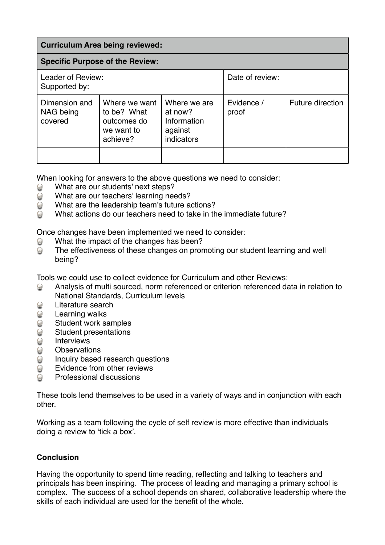| <b>Curriculum Area being reviewed:</b> |                                                                       |                                                                 |                     |                  |  |  |
|----------------------------------------|-----------------------------------------------------------------------|-----------------------------------------------------------------|---------------------|------------------|--|--|
| <b>Specific Purpose of the Review:</b> |                                                                       |                                                                 |                     |                  |  |  |
| Leader of Review:<br>Supported by:     |                                                                       |                                                                 | Date of review:     |                  |  |  |
| Dimension and<br>NAG being<br>covered  | Where we want<br>to be? What<br>outcomes do<br>we want to<br>achieve? | Where we are<br>at now?<br>Information<br>against<br>indicators | Evidence /<br>proof | Future direction |  |  |

When looking for answers to the above questions we need to consider:

- What are our students' next steps?  $\odot$
- $\Theta$ What are our teachers' learning needs?
- What are the leadership team's future actions?  $\odot$
- $\odot$ What actions do our teachers need to take in the immediate future?

Once changes have been implemented we need to consider:

- What the impact of the changes has been?  $\odot$
- $\odot$ The effectiveness of these changes on promoting our student learning and well being?

Tools we could use to collect evidence for Curriculum and other Reviews:

- Analysis of multi sourced, norm referenced or criterion referenced data in relation to  $\odot$ National Standards, Curriculum levels
- $\odot$ Literature search
- Learning walks  $\bigcirc$
- $\bigodot$ Student work samples
- $\ddot{\text{O}}$ Student presentations
- 00 **Interviews**
- **Observations**
- $\overline{\mathcal{Q}}$ Inquiry based research questions
- $\odot$ Evidence from other reviews
- Professional discussions  $\odot$

These tools lend themselves to be used in a variety of ways and in conjunction with each other.

Working as a team following the cycle of self review is more effective than individuals doing a review to 'tick a box'.

#### **Conclusion**

Having the opportunity to spend time reading, reflecting and talking to teachers and principals has been inspiring. The process of leading and managing a primary school is complex. The success of a school depends on shared, collaborative leadership where the skills of each individual are used for the benefit of the whole.